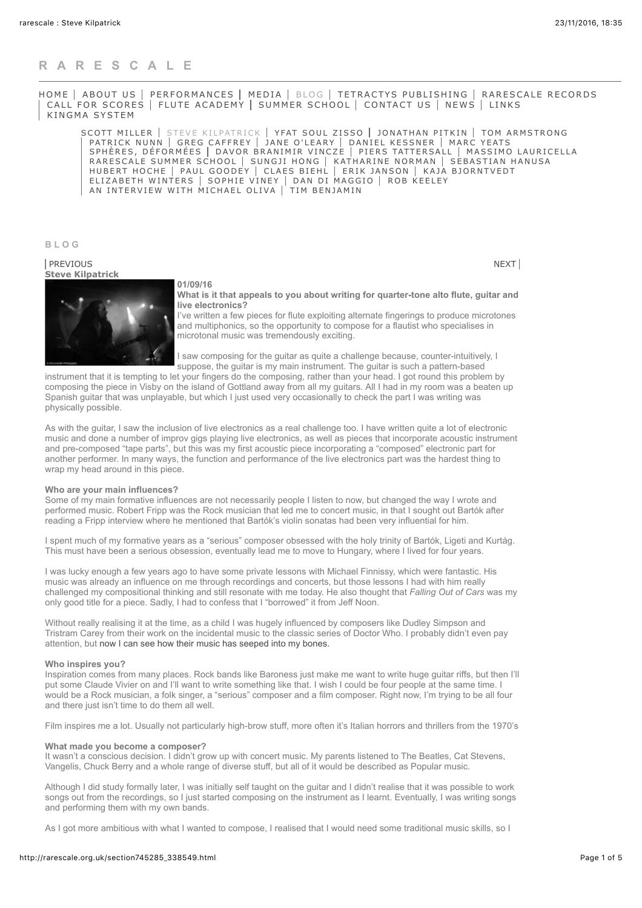# **[RARESCALE](http://rarescale.org.uk/)**

[HOME](http://rarescale.org.uk/) | [ABOUT US](http://rarescale.org.uk/section467398.html) | [PERFORMANCES](http://rarescale.org.uk/section468034.html) | [MEDIA](http://rarescale.org.uk/section514318.html) | [BLOG](http://rarescale.org.uk/section745285.html) | [TETRACTYS PUBLISHING](http://rarescale.org.uk/section468032.html) | [RARESCALE RECORDS](http://rarescale.org.uk/section641373.html) [CALL FOR SCORES](http://rarescale.org.uk/section468038.html) | [FLUTE ACADEMY](http://rarescale.org.uk/section468037.html) | [SUMMER SCHOOL](http://rarescale.org.uk/section641382.html) | [CONTACT US](http://rarescale.org.uk/contactform.html) | [NEWS](http://rarescale.org.uk/section641384.html) | [LINKS](http://rarescale.org.uk/links.html) [KINGMA SYSTEM](http://rarescale.org.uk/section683023.html)

[SCOTT MILLER](http://rarescale.org.uk/section745285_338551.html) | [STEVE KILPATRICK](http://rarescale.org.uk/section745285_338549.html) | [YFAT SOUL ZISSO](http://rarescale.org.uk/section745285_338426.html) | [JONATHAN PITKIN](http://rarescale.org.uk/section745285_338425.html) | [TOM ARMSTRONG](http://rarescale.org.uk/section745285_338319.html) [PATRICK NUNN](http://rarescale.org.uk/section745285_334139.html) | [GREG CAFFREY](http://rarescale.org.uk/section745285_334134.html) | [JANE O'LEARY](http://rarescale.org.uk/section745285_328635.html) | [DANIEL KESSNER](http://rarescale.org.uk/section745285_327915.html) | [MARC YEATS](http://rarescale.org.uk/section745285_327772.html) [SPHÈRES, DÉFORMÉES](http://rarescale.org.uk/section745285_321713.html) | [DAVOR BRANIMIR VINCZE](http://rarescale.org.uk/section745285_320974.html) | [PIERS TATTERSALL](http://rarescale.org.uk/section745285_320973.html) | [MASSIMO LAURICELLA](http://rarescale.org.uk/section745285_320972.html) [RARESCALE SUMMER SCHOOL](http://rarescale.org.uk/section745285_320855.html) | [SUNGJI HONG](http://rarescale.org.uk/section745285_311395.html) | [KATHARINE NORMAN](http://rarescale.org.uk/section745285_311291.html) | [SEBASTIAN HANUSA](http://rarescale.org.uk/section745285_303885.html) [HUBERT HOCHE](http://rarescale.org.uk/section745285_303884.html) | [PAUL GOODEY](http://rarescale.org.uk/section745285_303688.html) | [CLAES BIEHL](http://rarescale.org.uk/section745285_303692.html) | [ERIK JANSON](http://rarescale.org.uk/section745285_303689.html) | [KAJA BJORNTVEDT](http://rarescale.org.uk/section745285_297660.html) [ELIZABETH WINTERS](http://rarescale.org.uk/section745285_297659.html) | [SOPHIE VINEY](http://rarescale.org.uk/section745285_296254.html) | [DAN DI MAGGIO](http://rarescale.org.uk/section745285_293982.html) | [ROB KEELEY](http://rarescale.org.uk/section745285_284904.html) [AN INTERVIEW WITH MICHAEL OLIVA](http://rarescale.org.uk/section745285_285132.html) [TIM BENJAMIN](http://rarescale.org.uk/section745285_285131.html)

**BLOG**

**Steve Kilpatrick**

[PREVIOUS](http://rarescale.org.uk/section745285_338551.html) [NEXT](http://rarescale.org.uk/section745285_338426.html)



**01/09/16**

**What is it that appeals to you about writing for quarter-tone alto flute, guitar and live electronics?**

I've written a few pieces for flute exploiting alternate fingerings to produce microtones and multiphonics, so the opportunity to compose for a flautist who specialises in microtonal music was tremendously exciting.

I saw composing for the guitar as quite a challenge because, counter-intuitively, I suppose, the quitar is my main instrument. The quitar is such a pattern-based

instrument that it is tempting to let your fingers do the composing, rather than your head. I got round this problem by composing the piece in Visby on the island of Gottland away from all my guitars. All I had in my room was a beaten up Spanish guitar that was unplayable, but which I just used very occasionally to check the part I was writing was physically possible.

As with the guitar, I saw the inclusion of live electronics as a real challenge too. I have written quite a lot of electronic music and done a number of improv gigs playing live electronics, as well as pieces that incorporate acoustic instrument and pre-composed "tape parts", but this was my first acoustic piece incorporating a "composed" electronic part for another performer. In many ways, the function and performance of the live electronics part was the hardest thing to wrap my head around in this piece.

#### **Who are your main influences?**

Some of my main formative influences are not necessarily people I listen to now, but changed the way I wrote and performed music. Robert Fripp was the Rock musician that led me to concert music, in that I sought out Bartók after reading a Fripp interview where he mentioned that Bartók's violin sonatas had been very influential for him.

I spent much of my formative years as a "serious" composer obsessed with the holy trinity of Bartók, Ligeti and Kurtág. This must have been a serious obsession, eventually lead me to move to Hungary, where I lived for four years.

I was lucky enough a few years ago to have some private lessons with Michael Finnissy, which were fantastic. His music was already an influence on me through recordings and concerts, but those lessons I had with him really challenged my compositional thinking and still resonate with me today. He also thought that *Falling Out of Cars* was my only good title for a piece. Sadly, I had to confess that I "borrowed" it from Jeff Noon.

Without really realising it at the time, as a child I was hugely influenced by composers like Dudley Simpson and Tristram Carey from their work on the incidental music to the classic series of Doctor Who. I probably didn't even pay attention, but [now I can see how their music has seeped into my bones.](https://stevekilpatrick.wordpress.com/2010/09/25/formative-experiences-2-doctor-who/)

#### **Who inspires you?**

Inspiration comes from many places. Rock bands like Baroness just make me want to write huge guitar riffs, but then I'll put some Claude Vivier on and I'll want to write something like that. I wish I could be four people at the same time. I would be a Rock musician, a folk singer, a "serious" composer and a film composer. Right now, I'm trying to be all four and there just isn't time to do them all well.

Film inspires me a lot. Usually not particularly high-brow stuff, more often it's Italian horrors and thrillers from the 1970's

#### **What made you become a composer?**

It wasn't a conscious decision. I didn't grow up with concert music. My parents listened to The Beatles, Cat Stevens, Vangelis, Chuck Berry and a whole range of diverse stuff, but all of it would be described as Popular music.

Although I did study formally later, I was initially self taught on the guitar and I didn't realise that it was possible to work songs out from the recordings, so I just started composing on the instrument as I learnt. Eventually, I was writing songs and performing them with my own bands.

As I got more ambitious with what I wanted to compose, I realised that I would need some traditional music skills, so I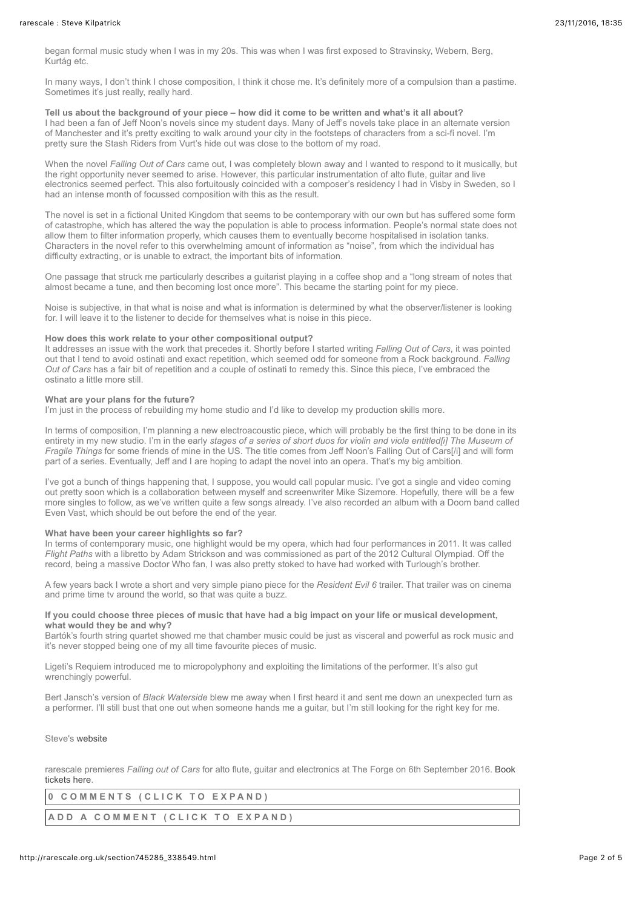began formal music study when I was in my 20s. This was when I was first exposed to Stravinsky, Webern, Berg, Kurtág etc.

In many ways, I don't think I chose composition, I think it chose me. It's definitely more of a compulsion than a pastime. Sometimes it's just really, really hard.

#### **Tell us about the background of your piece – how did it come to be written and what's it all about?**

I had been a fan of Jeff Noon's novels since my student days. Many of Jeff's novels take place in an alternate version of Manchester and it's pretty exciting to walk around your city in the footsteps of characters from a sci-fi novel. I'm pretty sure the Stash Riders from Vurt's hide out was close to the bottom of my road.

When the novel *Falling Out of Cars* came out, I was completely blown away and I wanted to respond to it musically, but the right opportunity never seemed to arise. However, this particular instrumentation of alto flute, guitar and live electronics seemed perfect. This also fortuitously coincided with a composer's residency I had in Visby in Sweden, so I had an intense month of focussed composition with this as the result.

The novel is set in a fictional United Kingdom that seems to be contemporary with our own but has suffered some form of catastrophe, which has altered the way the population is able to process information. People's normal state does not allow them to filter information properly, which causes them to eventually become hospitalised in isolation tanks. Characters in the novel refer to this overwhelming amount of information as "noise", from which the individual has difficulty extracting, or is unable to extract, the important bits of information.

One passage that struck me particularly describes a guitarist playing in a coffee shop and a "long stream of notes that almost became a tune, and then becoming lost once more". This became the starting point for my piece.

Noise is subjective, in that what is noise and what is information is determined by what the observer/listener is looking for. I will leave it to the listener to decide for themselves what is noise in this piece.

## **How does this work relate to your other compositional output?**

It addresses an issue with the work that precedes it. Shortly before I started writing *Falling Out of Cars*, it was pointed out that I tend to avoid ostinati and exact repetition, which seemed odd for someone from a Rock background. *Falling Out of Cars* has a fair bit of repetition and a couple of ostinati to remedy this. Since this piece, I've embraced the ostinato a little more still.

## **What are your plans for the future?**

I'm just in the process of rebuilding my home studio and I'd like to develop my production skills more.

In terms of composition, I'm planning a new electroacoustic piece, which will probably be the first thing to be done in its entirety in my new studio. I'm in the early *stages of a series of short duos for violin and viola entitled[i] The Museum of Fragile Things* for some friends of mine in the US. The title comes from Jeff Noon's Falling Out of Cars[/i] and will form part of a series. Eventually, Jeff and I are hoping to adapt the novel into an opera. That's my big ambition.

I've got a bunch of things happening that, I suppose, you would call popular music. I've got a single and video coming out pretty soon which is a collaboration between myself and screenwriter Mike Sizemore. Hopefully, there will be a few more singles to follow, as we've written quite a few songs already. I've also recorded an album with a Doom band called Even Vast, which should be out before the end of the year.

## **What have been your career highlights so far?**

In terms of contemporary music, one highlight would be my opera, which had four performances in 2011. It was called *Flight Paths* with a libretto by Adam Strickson and was commissioned as part of the 2012 Cultural Olympiad. Off the record, being a massive Doctor Who fan, I was also pretty stoked to have had worked with Turlough's brother.

A few years back I wrote a short and very simple piano piece for the *Resident Evil 6* trailer. That trailer was on cinema and prime time tv around the world, so that was quite a buzz.

#### **If you could choose three pieces of music that have had a big impact on your life or musical development, what would they be and why?**

Bartók's fourth string quartet showed me that chamber music could be just as visceral and powerful as rock music and it's never stopped being one of my all time favourite pieces of music.

Ligeti's Requiem introduced me to micropolyphony and exploiting the limitations of the performer. It's also gut wrenchingly powerful.

Bert Jansch's version of *Black Waterside* blew me away when I first heard it and sent me down an unexpected turn as a performer. I'll still bust that one out when someone hands me a guitar, but I'm still looking for the right key for me.

Steve's [website](http://www.stephenkilpatrick.com/)

rarescale premieres *Falling out of Cars* [for alto flute, guitar and electronics at The Forge on 6th September 2016. Book](https://uk.patronbase.com/_Forge/Productions/SN/Performances) tickets here.

| O COMMENTS (CLICK TO EXPAND)    |
|---------------------------------|
| ADD A COMMENT (CLICK TO EXPAND) |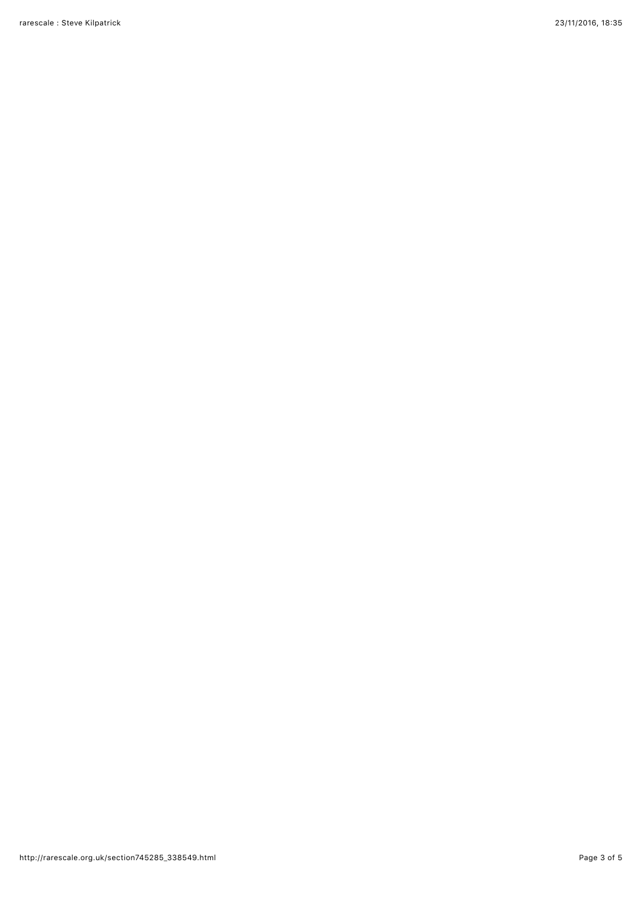rarescale : Steve Kilpatrick 23/11/2016, 18:35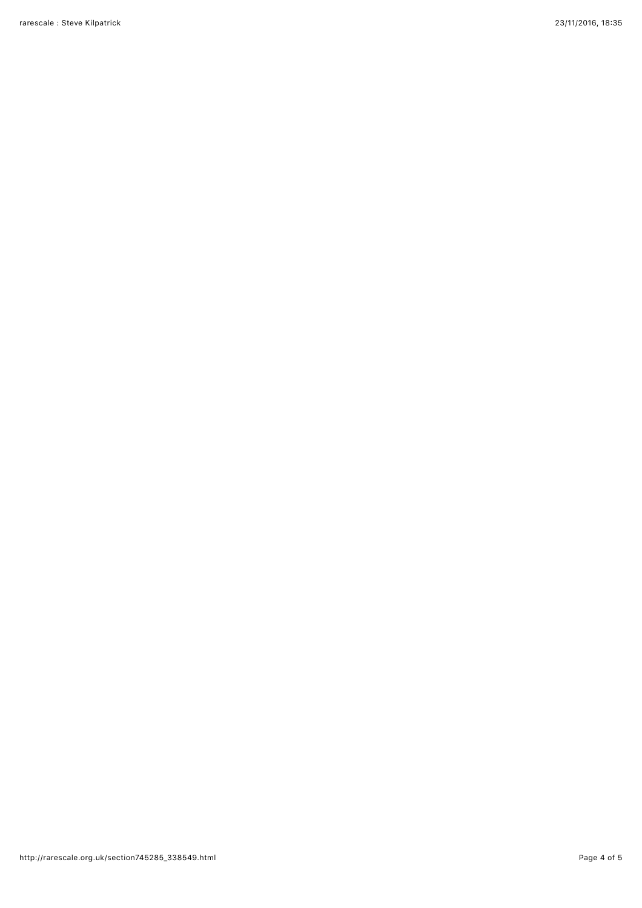rarescale : Steve Kilpatrick 23/11/2016, 18:35